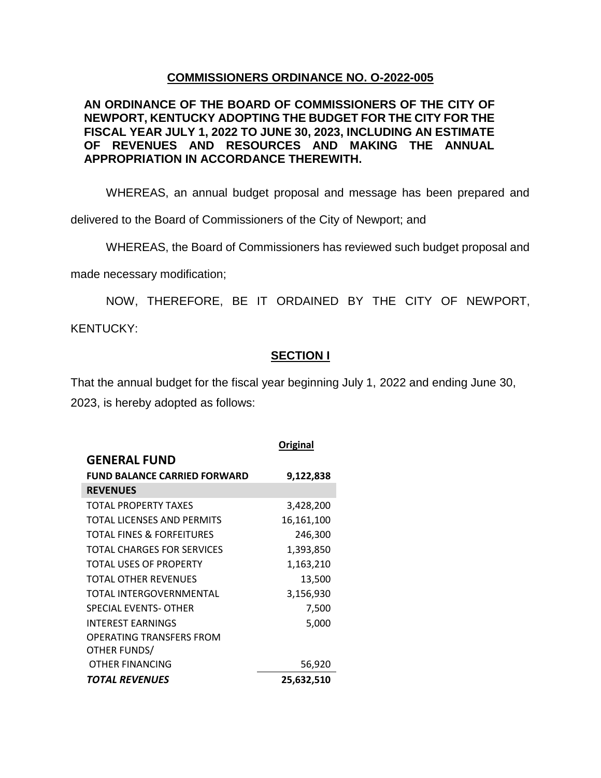## **COMMISSIONERS ORDINANCE NO. O-2022-005**

## **AN ORDINANCE OF THE BOARD OF COMMISSIONERS OF THE CITY OF NEWPORT, KENTUCKY ADOPTING THE BUDGET FOR THE CITY FOR THE FISCAL YEAR JULY 1, 2022 TO JUNE 30, 2023, INCLUDING AN ESTIMATE OF REVENUES AND RESOURCES AND MAKING THE ANNUAL APPROPRIATION IN ACCORDANCE THEREWITH.**

WHEREAS, an annual budget proposal and message has been prepared and

delivered to the Board of Commissioners of the City of Newport; and

WHEREAS, the Board of Commissioners has reviewed such budget proposal and

made necessary modification;

NOW, THEREFORE, BE IT ORDAINED BY THE CITY OF NEWPORT, KENTUCKY:

## **SECTION I**

That the annual budget for the fiscal year beginning July 1, 2022 and ending June 30, 2023, is hereby adopted as follows:

|                                     | Original   |
|-------------------------------------|------------|
| <b>GENERAL FUND</b>                 |            |
| <b>FUND BALANCE CARRIED FORWARD</b> | 9,122,838  |
| <b>REVENUES</b>                     |            |
| TOTAL PROPERTY TAXES                | 3,428,200  |
| TOTAL LICENSES AND PERMITS          | 16,161,100 |
| TOTAL FINES & FORFEITURES           | 246,300    |
| TOTAL CHARGES FOR SERVICES          | 1,393,850  |
| TOTAL USES OF PROPERTY              | 1,163,210  |
| TOTAL OTHER REVENUES                | 13,500     |
| TOTAL INTERGOVERNMENTAL             | 3,156,930  |
| SPECIAL EVENTS- OTHER               | 7,500      |
| <b>INTEREST EARNINGS</b>            | 5,000      |
| OPERATING TRANSFERS FROM            |            |
| OTHER FUNDS/                        |            |
| OTHER FINANCING                     | 56,920     |
| TOTAL REVENUES                      | 25,632,510 |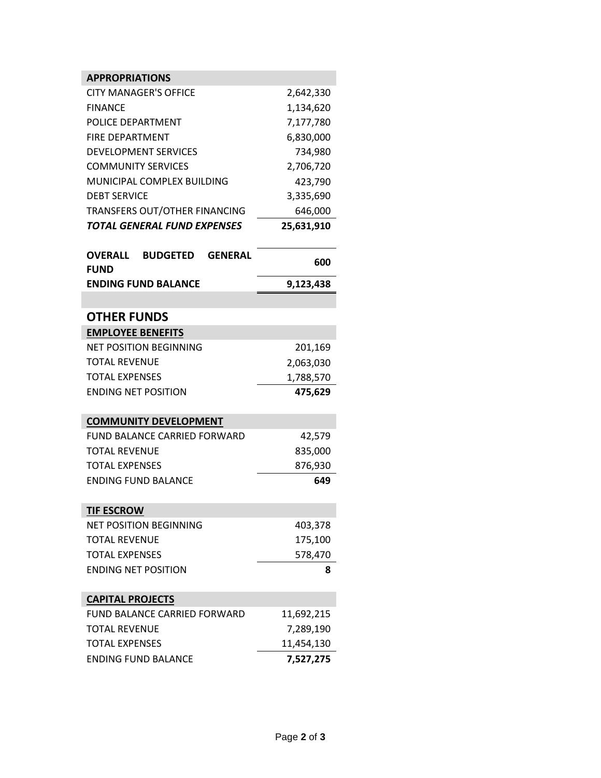| <b>APPROPRIATIONS</b>                                              |            |
|--------------------------------------------------------------------|------------|
| <b>CITY MANAGER'S OFFICE</b>                                       | 2,642,330  |
| <b>FINANCE</b>                                                     | 1,134,620  |
| POLICE DEPARTMENT                                                  | 7,177,780  |
| <b>FIRE DEPARTMENT</b>                                             | 6,830,000  |
| <b>DEVELOPMENT SERVICES</b>                                        | 734,980    |
| <b>COMMUNITY SERVICES</b>                                          | 2,706,720  |
| MUNICIPAL COMPLEX BUILDING                                         | 423,790    |
| <b>DEBT SERVICE</b>                                                | 3,335,690  |
| TRANSFERS OUT/OTHER FINANCING                                      | 646,000    |
| TOTAL GENERAL FUND EXPENSES                                        | 25,631,910 |
| <b>OVERALL</b><br><b>BUDGETED</b><br><b>GENERAL</b><br><b>FUND</b> | 600        |
| <b>ENDING FUND BALANCE</b>                                         | 9,123,438  |
|                                                                    |            |
| <b>OTHER FUNDS</b>                                                 |            |
| <b>EMPLOYEE BENEFITS</b>                                           |            |
| <b>NET POSITION BEGINNING</b>                                      | 201,169    |
| <b>TOTAL REVENUE</b>                                               | 2,063,030  |
| <b>TOTAL EXPENSES</b>                                              | 1,788,570  |
| <b>ENDING NET POSITION</b>                                         | 475,629    |
| <b>COMMUNITY DEVELOPMENT</b>                                       |            |
| <b>FUND BALANCE CARRIED FORWARD</b>                                | 42,579     |
| <b>TOTAL REVENUE</b>                                               | 835,000    |
| <b>TOTAL EXPENSES</b>                                              | 876,930    |
| <b>ENDING FUND BALANCE</b>                                         | 649        |
|                                                                    |            |
| <b>TIF ESCROW</b><br><b>NET POSITION BEGINNING</b>                 | 403,378    |
| <b>TOTAL REVENUE</b>                                               | 175,100    |
| <b>TOTAL EXPENSES</b>                                              | 578,470    |
| <b>ENDING NET POSITION</b>                                         | 8          |
|                                                                    |            |
| <b>CAPITAL PROJECTS</b>                                            |            |
| <b>FUND BALANCE CARRIED FORWARD</b>                                | 11,692,215 |
| <b>TOTAL REVENUE</b>                                               | 7,289,190  |
| <b>TOTAL EXPENSES</b>                                              | 11,454,130 |
| <b>ENDING FUND BALANCE</b>                                         | 7,527,275  |